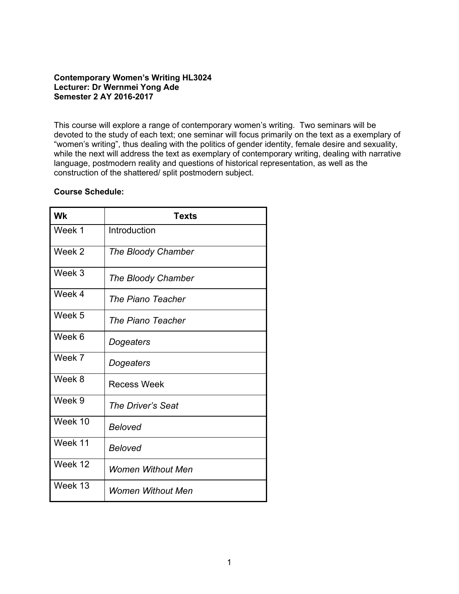# **Contemporary Women's Writing HL3024 Lecturer: Dr Wernmei Yong Ade Semester 2 AY 2016-2017**

This course will explore a range of contemporary women's writing. Two seminars will be devoted to the study of each text; one seminar will focus primarily on the text as a exemplary of "women's writing", thus dealing with the politics of gender identity, female desire and sexuality, while the next will address the text as exemplary of contemporary writing, dealing with narrative language, postmodern reality and questions of historical representation, as well as the construction of the shattered/ split postmodern subject.

### **Course Schedule:**

| <b>Wk</b> | <b>Texts</b>             |
|-----------|--------------------------|
| Week 1    | Introduction             |
| Week 2    | The Bloody Chamber       |
| Week 3    | The Bloody Chamber       |
| Week 4    | The Piano Teacher        |
| Week 5    | The Piano Teacher        |
| Week 6    | Dogeaters                |
| Week 7    | Dogeaters                |
| Week 8    | <b>Recess Week</b>       |
| Week 9    | The Driver's Seat        |
| Week 10   | <b>Beloved</b>           |
| Week 11   | <b>Beloved</b>           |
| Week 12   | <b>Women Without Men</b> |
| Week 13   | Women Without Men        |